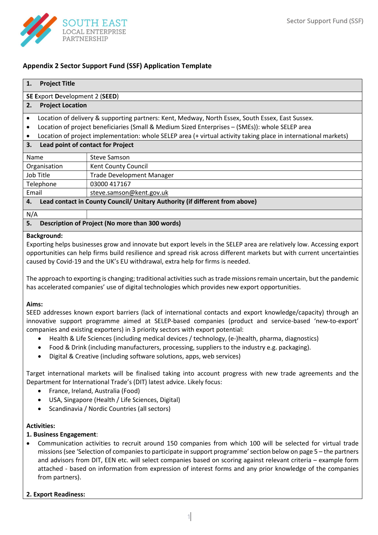

# Appendix 2 Sector Support Fund (SSF) Application Template

| <b>Project Title</b><br>1.                                                        |                                                                                                                 |  |  |
|-----------------------------------------------------------------------------------|-----------------------------------------------------------------------------------------------------------------|--|--|
| <b>SE Export Development 2 (SEED)</b>                                             |                                                                                                                 |  |  |
| <b>Project Location</b><br>2.                                                     |                                                                                                                 |  |  |
| $\bullet$                                                                         | Location of delivery & supporting partners: Kent, Medway, North Essex, South Essex, East Sussex.                |  |  |
| ٠                                                                                 | Location of project beneficiaries (Small & Medium Sized Enterprises - (SMEs)): whole SELEP area                 |  |  |
|                                                                                   | Location of project implementation: whole SELEP area (+ virtual activity taking place in international markets) |  |  |
| Lead point of contact for Project<br>3.                                           |                                                                                                                 |  |  |
| Name                                                                              | <b>Steve Samson</b>                                                                                             |  |  |
| Organisation                                                                      | Kent County Council                                                                                             |  |  |
| Job Title                                                                         | <b>Trade Development Manager</b>                                                                                |  |  |
| Telephone<br>03000 417167                                                         |                                                                                                                 |  |  |
| Email                                                                             | steve.samson@kent.gov.uk                                                                                        |  |  |
| Lead contact in County Council/ Unitary Authority (if different from above)<br>4. |                                                                                                                 |  |  |
| N/A                                                                               |                                                                                                                 |  |  |

# 5. Description of Project (No more than 300 words)

### Background:

Exporting helps businesses grow and innovate but export levels in the SELEP area are relatively low. Accessing export opportunities can help firms build resilience and spread risk across different markets but with current uncertainties caused by Covid-19 and the UK's EU withdrawal, extra help for firms is needed.

The approach to exporting is changing; traditional activities such as trade missions remain uncertain, but the pandemic has accelerated companies' use of digital technologies which provides new export opportunities.

### Aims:

SEED addresses known export barriers (lack of international contacts and export knowledge/capacity) through an innovative support programme aimed at SELEP-based companies (product and service-based 'new-to-export' companies and existing exporters) in 3 priority sectors with export potential:

- Health & Life Sciences (including medical devices / technology, (e-)health, pharma, diagnostics)
- Food & Drink (including manufacturers, processing, suppliers to the industry e.g. packaging).
- Digital & Creative (including software solutions, apps, web services)

Target international markets will be finalised taking into account progress with new trade agreements and the Department for International Trade's (DIT) latest advice. Likely focus:

- France, Ireland, Australia (Food)
- USA, Singapore (Health / Life Sciences, Digital)
- Scandinavia / Nordic Countries (all sectors)

### Activities:

### 1. Business Engagement:

 Communication activities to recruit around 150 companies from which 100 will be selected for virtual trade missions (see 'Selection of companies to participate in support programme' section below on page 5 – the partners and advisors from DIT, EEN etc. will select companies based on scoring against relevant criteria – example form attached - based on information from expression of interest forms and any prior knowledge of the companies from partners).

# 2. Export Readiness: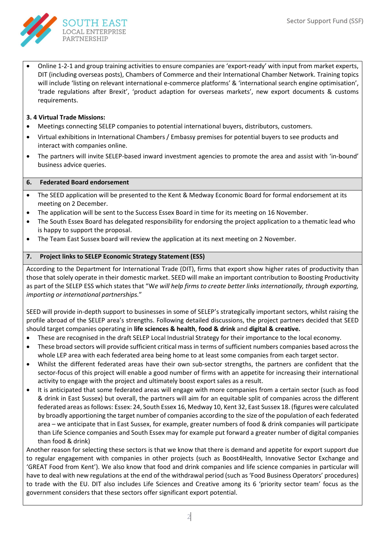

 Online 1-2-1 and group training activities to ensure companies are 'export-ready' with input from market experts, DIT (including overseas posts), Chambers of Commerce and their International Chamber Network. Training topics will include 'listing on relevant international e-commerce platforms' & 'international search engine optimisation', 'trade regulations after Brexit', 'product adaption for overseas markets', new export documents & customs requirements.

# 3. 4 Virtual Trade Missions:

- Meetings connecting SELEP companies to potential international buyers, distributors, customers.
- Virtual exhibitions in International Chambers / Embassy premises for potential buyers to see products and interact with companies online.
- The partners will invite SELEP-based inward investment agencies to promote the area and assist with 'in-bound' business advice queries.

## 6. Federated Board endorsement

- The SEED application will be presented to the Kent & Medway Economic Board for formal endorsement at its meeting on 2 December.
- The application will be sent to the Success Essex Board in time for its meeting on 16 November.
- The South Essex Board has delegated responsibility for endorsing the project application to a thematic lead who is happy to support the proposal.
- The Team East Sussex board will review the application at its next meeting on 2 November.

# 7. Project links to SELEP Economic Strategy Statement (ESS)

According to the Department for International Trade (DIT), firms that export show higher rates of productivity than those that solely operate in their domestic market. SEED will make an important contribution to Boosting Productivity as part of the SELEP ESS which states that "We will help firms to create better links internationally, through exporting, importing or international partnerships."

SEED will provide in-depth support to businesses in some of SELEP's strategically important sectors, whilst raising the profile abroad of the SELEP area's strengths. Following detailed discussions, the project partners decided that SEED should target companies operating in life sciences & health, food & drink and digital & creative.

- These are recognised in the draft SELEP Local Industrial Strategy for their importance to the local economy.
- These broad sectors will provide sufficient critical mass in terms of sufficient numbers companies based across the whole LEP area with each federated area being home to at least some companies from each target sector.
- Whilst the different federated areas have their own sub-sector strengths, the partners are confident that the sector-focus of this project will enable a good number of firms with an appetite for increasing their international activity to engage with the project and ultimately boost export sales as a result.
- It is anticipated that some federated areas will engage with more companies from a certain sector (such as food & drink in East Sussex) but overall, the partners will aim for an equitable split of companies across the different federated areas as follows: Essex: 24, South Essex 16, Medway 10, Kent 32, East Sussex 18. (figures were calculated by broadly apportioning the target number of companies according to the size of the population of each federated area – we anticipate that in East Sussex, for example, greater numbers of food & drink companies will participate than Life Science companies and South Essex may for example put forward a greater number of digital companies than food & drink)

Another reason for selecting these sectors is that we know that there is demand and appetite for export support due to regular engagement with companies in other projects (such as Boost4Health, Innovative Sector Exchange and 'GREAT Food from Kent'). We also know that food and drink companies and life science companies in particular will have to deal with new regulations at the end of the withdrawal period (such as 'Food Business Operators' procedures) to trade with the EU. DIT also includes Life Sciences and Creative among its 6 'priority sector team' focus as the government considers that these sectors offer significant export potential.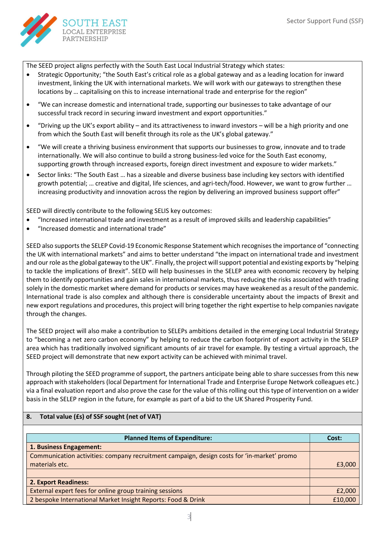

The SEED project aligns perfectly with the South East Local Industrial Strategy which states:

- Strategic Opportunity; "the South East's critical role as a global gateway and as a leading location for inward investment, linking the UK with international markets. We will work with our gateways to strengthen these locations by ... capitalising on this to increase international trade and enterprise for the region"
- "We can increase domestic and international trade, supporting our businesses to take advantage of our successful track record in securing inward investment and export opportunities."
- "Driving up the UK's export ability and its attractiveness to inward investors will be a high priority and one from which the South East will benefit through its role as the UK's global gateway."
- "We will create a thriving business environment that supports our businesses to grow, innovate and to trade internationally. We will also continue to build a strong business-led voice for the South East economy, supporting growth through increased exports, foreign direct investment and exposure to wider markets."
- Sector links: "The South East ... has a sizeable and diverse business base including key sectors with identified growth potential; … creative and digital, life sciences, and agri-tech/food. However, we want to grow further … increasing productivity and innovation across the region by delivering an improved business support offer"

SEED will directly contribute to the following SELIS key outcomes:

- "Increased international trade and investment as a result of improved skills and leadership capabilities"
- "Increased domestic and international trade"

SEED also supports the SELEP Covid-19 Economic Response Statement which recognises the importance of "connecting the UK with international markets" and aims to better understand "the impact on international trade and investment and our role as the global gateway to the UK". Finally, the project will support potential and existing exports by "helping to tackle the implications of Brexit". SEED will help businesses in the SELEP area with economic recovery by helping them to identify opportunities and gain sales in international markets, thus reducing the risks associated with trading solely in the domestic market where demand for products or services may have weakened as a result of the pandemic. International trade is also complex and although there is considerable uncertainty about the impacts of Brexit and new export regulations and procedures, this project will bring together the right expertise to help companies navigate through the changes.

The SEED project will also make a contribution to SELEPs ambitions detailed in the emerging Local Industrial Strategy to "becoming a net zero carbon economy" by helping to reduce the carbon footprint of export activity in the SELEP area which has traditionally involved significant amounts of air travel for example. By testing a virtual approach, the SEED project will demonstrate that new export activity can be achieved with minimal travel.

Through piloting the SEED programme of support, the partners anticipate being able to share successes from this new approach with stakeholders (local Department for International Trade and Enterprise Europe Network colleagues etc.) via a final evaluation report and also prove the case for the value of this rolling out this type of intervention on a wider basis in the SELEP region in the future, for example as part of a bid to the UK Shared Prosperity Fund.

# 8. Total value (£s) of SSF sought (net of VAT)

| <b>Planned Items of Expenditure:</b>                                                       | Cost:   |
|--------------------------------------------------------------------------------------------|---------|
| 1. Business Engagement:                                                                    |         |
| Communication activities: company recruitment campaign, design costs for 'in-market' promo |         |
| materials etc.                                                                             | £3,000  |
|                                                                                            |         |
| 2. Export Readiness:                                                                       |         |
| External expert fees for online group training sessions                                    | £2,000  |
| 2 bespoke International Market Insight Reports: Food & Drink                               | £10,000 |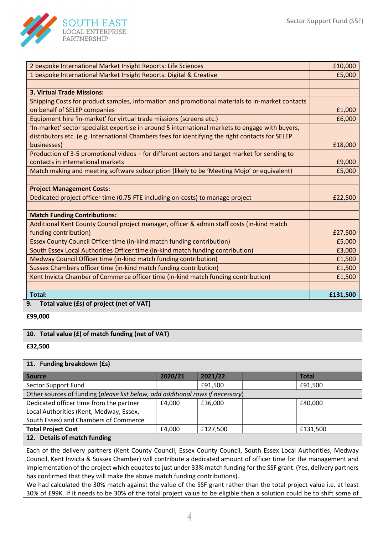

| 2 bespoke International Market Insight Reports: Life Sciences                                                                         |                                                                                            |         |                   | £10,000      |
|---------------------------------------------------------------------------------------------------------------------------------------|--------------------------------------------------------------------------------------------|---------|-------------------|--------------|
| 1 bespoke International Market Insight Reports: Digital & Creative                                                                    |                                                                                            |         | £5,000            |              |
|                                                                                                                                       |                                                                                            |         |                   |              |
| <b>3. Virtual Trade Missions:</b>                                                                                                     |                                                                                            |         |                   |              |
| Shipping Costs for product samples, information and promotional materials to in-market contacts                                       |                                                                                            |         |                   |              |
| on behalf of SELEP companies                                                                                                          |                                                                                            |         |                   | £1,000       |
| Equipment hire 'in-market' for virtual trade missions (screens etc.)                                                                  |                                                                                            |         |                   | £6,000       |
| 'In-market' sector specialist expertise in around 5 international markets to engage with buyers,                                      |                                                                                            |         |                   |              |
| distributors etc. (e.g. International Chambers fees for identifying the right contacts for SELEP                                      |                                                                                            |         |                   |              |
| businesses)                                                                                                                           |                                                                                            |         |                   | £18,000      |
| Production of 3-5 promotional videos - for different sectors and target market for sending to                                         |                                                                                            |         |                   |              |
| contacts in international markets                                                                                                     |                                                                                            |         |                   | £9,000       |
| Match making and meeting software subscription (likely to be 'Meeting Mojo' or equivalent)                                            |                                                                                            |         |                   | £5,000       |
|                                                                                                                                       |                                                                                            |         |                   |              |
| <b>Project Management Costs:</b>                                                                                                      |                                                                                            |         |                   |              |
| Dedicated project officer time (0.75 FTE including on-costs) to manage project                                                        |                                                                                            |         |                   | £22,500      |
|                                                                                                                                       |                                                                                            |         |                   |              |
| <b>Match Funding Contributions:</b>                                                                                                   |                                                                                            |         |                   |              |
|                                                                                                                                       | Additional Kent County Council project manager, officer & admin staff costs (in-kind match |         |                   |              |
| funding contribution)                                                                                                                 |                                                                                            |         | £27,500<br>£5,000 |              |
| Essex County Council Officer time (in-kind match funding contribution)                                                                |                                                                                            |         | £3,000            |              |
| South Essex Local Authorities Officer time (in-kind match funding contribution)                                                       |                                                                                            |         | £1,500            |              |
| Medway Council Officer time (in-kind match funding contribution)<br>Sussex Chambers officer time (in-kind match funding contribution) |                                                                                            |         | £1,500            |              |
| Kent Invicta Chamber of Commerce officer time (in-kind match funding contribution)                                                    |                                                                                            |         | £1,500            |              |
|                                                                                                                                       |                                                                                            |         |                   |              |
| <b>Total:</b>                                                                                                                         |                                                                                            |         |                   | £131,500     |
| Total value (£s) of project (net of VAT)<br>9.                                                                                        |                                                                                            |         |                   |              |
| £99,000                                                                                                                               |                                                                                            |         |                   |              |
|                                                                                                                                       |                                                                                            |         |                   |              |
| 10. Total value (£) of match funding (net of VAT)                                                                                     |                                                                                            |         |                   |              |
| £32,500                                                                                                                               |                                                                                            |         |                   |              |
| 11. Funding breakdown (£s)                                                                                                            |                                                                                            |         |                   |              |
| <b>Source</b>                                                                                                                         | 2020/21                                                                                    | 2021/22 |                   | <b>Total</b> |

| -------                                                                        | ------- | -------  |  | .        |
|--------------------------------------------------------------------------------|---------|----------|--|----------|
| Sector Support Fund                                                            |         | £91,500  |  | £91,500  |
| Other sources of funding (please list below, add additional rows if necessary) |         |          |  |          |
| Dedicated officer time from the partner                                        | £4.000  | £36,000  |  | £40,000  |
| Local Authorities (Kent, Medway, Essex,                                        |         |          |  |          |
| South Essex) and Chambers of Commerce                                          |         |          |  |          |
| <b>Total Project Cost</b>                                                      | £4.000  | £127,500 |  | £131,500 |
| 12. Details of match funding                                                   |         |          |  |          |

Each of the delivery partners (Kent County Council, Essex County Council, South Essex Local Authorities, Medway Council, Kent Invicta & Sussex Chamber) will contribute a dedicated amount of officer time for the management and implementation of the project which equates to just under 33% match funding for the SSF grant. (Yes, delivery partners has confirmed that they will make the above match funding contributions).

We had calculated the 30% match against the value of the SSF grant rather than the total project value i.e. at least 30% of £99K. If it needs to be 30% of the total project value to be eligible then a solution could be to shift some of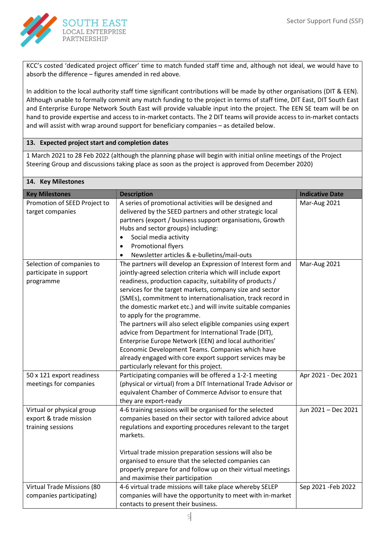

KCC's costed 'dedicated project officer' time to match funded staff time and, although not ideal, we would have to absorb the difference – figures amended in red above.

In addition to the local authority staff time significant contributions will be made by other organisations (DIT & EEN). Although unable to formally commit any match funding to the project in terms of staff time, DIT East, DIT South East and Enterprise Europe Network South East will provide valuable input into the project. The EEN SE team will be on hand to provide expertise and access to in-market contacts. The 2 DIT teams will provide access to in-market contacts and will assist with wrap around support for beneficiary companies – as detailed below.

# 13. Expected project start and completion dates

1 March 2021 to 28 Feb 2022 (although the planning phase will begin with initial online meetings of the Project Steering Group and discussions taking place as soon as the project is approved from December 2020)

| 14. Key Milestones                                                       |                                                                                                                                                                                                                                                                                                                                                                                                                                                                                                                                                                                                                                                                                                                                                                   |                        |  |  |
|--------------------------------------------------------------------------|-------------------------------------------------------------------------------------------------------------------------------------------------------------------------------------------------------------------------------------------------------------------------------------------------------------------------------------------------------------------------------------------------------------------------------------------------------------------------------------------------------------------------------------------------------------------------------------------------------------------------------------------------------------------------------------------------------------------------------------------------------------------|------------------------|--|--|
| <b>Key Milestones</b>                                                    | <b>Description</b>                                                                                                                                                                                                                                                                                                                                                                                                                                                                                                                                                                                                                                                                                                                                                | <b>Indicative Date</b> |  |  |
| Promotion of SEED Project to<br>target companies                         | A series of promotional activities will be designed and<br>delivered by the SEED partners and other strategic local<br>partners (export / business support organisations, Growth<br>Hubs and sector groups) including:                                                                                                                                                                                                                                                                                                                                                                                                                                                                                                                                            | Mar-Aug 2021           |  |  |
|                                                                          | Social media activity<br>$\bullet$<br>Promotional flyers<br>$\bullet$<br>Newsletter articles & e-bulletins/mail-outs                                                                                                                                                                                                                                                                                                                                                                                                                                                                                                                                                                                                                                              |                        |  |  |
| Selection of companies to<br>participate in support<br>programme         | The partners will develop an Expression of Interest form and<br>jointly-agreed selection criteria which will include export<br>readiness, production capacity, suitability of products /<br>services for the target markets, company size and sector<br>(SMEs), commitment to internationalisation, track record in<br>the domestic market etc.) and will invite suitable companies<br>to apply for the programme.<br>The partners will also select eligible companies using expert<br>advice from Department for International Trade (DIT),<br>Enterprise Europe Network (EEN) and local authorities'<br>Economic Development Teams. Companies which have<br>already engaged with core export support services may be<br>particularly relevant for this project. | Mar-Aug 2021           |  |  |
| 50 x 121 export readiness<br>meetings for companies                      | Participating companies will be offered a 1-2-1 meeting<br>(physical or virtual) from a DIT International Trade Advisor or<br>equivalent Chamber of Commerce Advisor to ensure that<br>they are export-ready                                                                                                                                                                                                                                                                                                                                                                                                                                                                                                                                                      | Apr 2021 - Dec 2021    |  |  |
| Virtual or physical group<br>export & trade mission<br>training sessions | 4-6 training sessions will be organised for the selected<br>companies based on their sector with tailored advice about<br>regulations and exporting procedures relevant to the target<br>markets.<br>Virtual trade mission preparation sessions will also be<br>organised to ensure that the selected companies can                                                                                                                                                                                                                                                                                                                                                                                                                                               | Jun 2021 - Dec 2021    |  |  |
|                                                                          | properly prepare for and follow up on their virtual meetings<br>and maximise their participation                                                                                                                                                                                                                                                                                                                                                                                                                                                                                                                                                                                                                                                                  |                        |  |  |
| Virtual Trade Missions (80<br>companies participating)                   | 4-6 virtual trade missions will take place whereby SELEP<br>companies will have the opportunity to meet with in-market<br>contacts to present their business.                                                                                                                                                                                                                                                                                                                                                                                                                                                                                                                                                                                                     | Sep 2021 - Feb 2022    |  |  |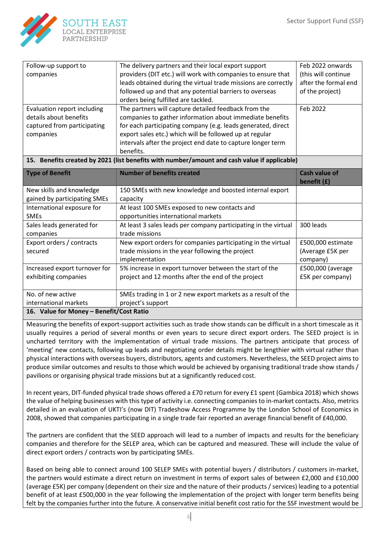

| Follow-up support to                                                                              | The delivery partners and their local export support                                                                                                                                                                                                                                                       | Feb 2022 onwards     |
|---------------------------------------------------------------------------------------------------|------------------------------------------------------------------------------------------------------------------------------------------------------------------------------------------------------------------------------------------------------------------------------------------------------------|----------------------|
| companies                                                                                         | providers (DIT etc.) will work with companies to ensure that                                                                                                                                                                                                                                               | (this will continue  |
|                                                                                                   | leads obtained during the virtual trade missions are correctly                                                                                                                                                                                                                                             | after the formal end |
|                                                                                                   | followed up and that any potential barriers to overseas                                                                                                                                                                                                                                                    | of the project)      |
|                                                                                                   | orders being fulfilled are tackled.                                                                                                                                                                                                                                                                        |                      |
| Evaluation report including<br>details about benefits<br>captured from participating<br>companies | The partners will capture detailed feedback from the<br>companies to gather information about immediate benefits<br>for each participating company (e.g. leads generated, direct<br>export sales etc.) which will be followed up at regular<br>intervals after the project end date to capture longer term | Feb 2022             |
|                                                                                                   | benefits.                                                                                                                                                                                                                                                                                                  |                      |

### 15. Benefits created by 2021 (list benefits with number/amount and cash value if applicable)

| <b>Type of Benefit</b>                   | <b>Number of benefits created</b>                               | <b>Cash value of</b> |  |
|------------------------------------------|-----------------------------------------------------------------|----------------------|--|
|                                          |                                                                 | benefit (£)          |  |
| New skills and knowledge                 | 150 SMEs with new knowledge and boosted internal export         |                      |  |
| gained by participating SMEs             | capacity                                                        |                      |  |
| International exposure for               | At least 100 SMEs exposed to new contacts and                   |                      |  |
| <b>SMEs</b>                              | opportunities international markets                             |                      |  |
| Sales leads generated for                | At least 3 sales leads per company participating in the virtual | 300 leads            |  |
| companies                                | trade missions                                                  |                      |  |
| Export orders / contracts                | New export orders for companies participating in the virtual    | £500,000 estimate    |  |
| secured                                  | trade missions in the year following the project                | (Average £5K per     |  |
|                                          | implementation                                                  | company)             |  |
| Increased export turnover for            | 5% increase in export turnover between the start of the         | £500,000 (average    |  |
| exhibiting companies                     | project and 12 months after the end of the project              | £5K per company)     |  |
|                                          |                                                                 |                      |  |
| No. of new active                        | SMEs trading in 1 or 2 new export markets as a result of the    |                      |  |
| international markets                    | project's support                                               |                      |  |
| 16. Value for Money - Benefit/Cost Ratio |                                                                 |                      |  |

Measuring the benefits of export-support activities such as trade show stands can be difficult in a short timescale as it usually requires a period of several months or even years to secure direct export orders. The SEED project is in uncharted territory with the implementation of virtual trade missions. The partners anticipate that process of 'meeting' new contacts, following up leads and negotiating order details might be lengthier with virtual rather than physical interactions with overseas buyers, distributors, agents and customers. Nevertheless, the SEED project aims to produce similar outcomes and results to those which would be achieved by organising traditional trade show stands / pavilions or organising physical trade missions but at a significantly reduced cost.

In recent years, DIT-funded physical trade shows offered a £70 return for every £1 spent (Gambica 2018) which shows the value of helping businesses with this type of activity i.e. connecting companies to in-market contacts. Also, metrics detailed in an evaluation of UKTI's (now DIT) Tradeshow Access Programme by the London School of Economics in 2008, showed that companies participating in a single trade fair reported an average financial benefit of £40,000.

The partners are confident that the SEED approach will lead to a number of impacts and results for the beneficiary companies and therefore for the SELEP area, which can be captured and measured. These will include the value of direct export orders / contracts won by participating SMEs.

Based on being able to connect around 100 SELEP SMEs with potential buyers / distributors / customers in-market, the partners would estimate a direct return on investment in terms of export sales of between £2,000 and £10,000 (average £5K) per company (dependent on their size and the nature of their products / services) leading to a potential benefit of at least £500,000 in the year following the implementation of the project with longer term benefits being felt by the companies further into the future. A conservative initial benefit cost ratio for the SSF investment would be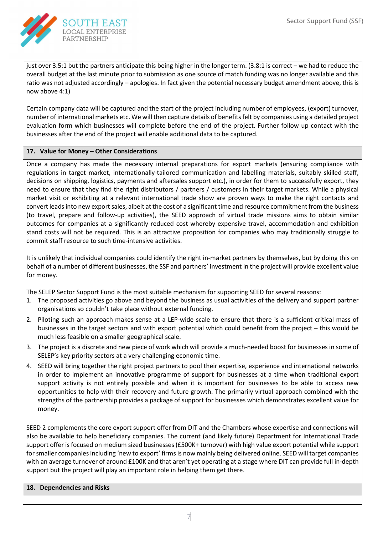

just over 3.5:1 but the partners anticipate this being higher in the longer term. (3.8:1 is correct – we had to reduce the overall budget at the last minute prior to submission as one source of match funding was no longer available and this ratio was not adjusted accordingly – apologies. In fact given the potential necessary budget amendment above, this is now above 4:1)

Certain company data will be captured and the start of the project including number of employees, (export) turnover, number of international markets etc. We will then capture details of benefits felt by companies using a detailed project evaluation form which businesses will complete before the end of the project. Further follow up contact with the businesses after the end of the project will enable additional data to be captured.

## 17. Value for Money – Other Considerations

Once a company has made the necessary internal preparations for export markets (ensuring compliance with regulations in target market, internationally-tailored communication and labelling materials, suitably skilled staff, decisions on shipping, logistics, payments and aftersales support etc.), in order for them to successfully export, they need to ensure that they find the right distributors / partners / customers in their target markets. While a physical market visit or exhibiting at a relevant international trade show are proven ways to make the right contacts and convert leads into new export sales, albeit at the cost of a significant time and resource commitment from the business (to travel, prepare and follow-up activities), the SEED approach of virtual trade missions aims to obtain similar outcomes for companies at a significantly reduced cost whereby expensive travel, accommodation and exhibition stand costs will not be required. This is an attractive proposition for companies who may traditionally struggle to commit staff resource to such time-intensive activities.

It is unlikely that individual companies could identify the right in-market partners by themselves, but by doing this on behalf of a number of different businesses, the SSF and partners' investment in the project will provide excellent value for money.

The SELEP Sector Support Fund is the most suitable mechanism for supporting SEED for several reasons:

- 1. The proposed activities go above and beyond the business as usual activities of the delivery and support partner organisations so couldn't take place without external funding.
- 2. Piloting such an approach makes sense at a LEP-wide scale to ensure that there is a sufficient critical mass of businesses in the target sectors and with export potential which could benefit from the project – this would be much less feasible on a smaller geographical scale.
- 3. The project is a discrete and new piece of work which will provide a much-needed boost for businesses in some of SELEP's key priority sectors at a very challenging economic time.
- 4. SEED will bring together the right project partners to pool their expertise, experience and international networks in order to implement an innovative programme of support for businesses at a time when traditional export support activity is not entirely possible and when it is important for businesses to be able to access new opportunities to help with their recovery and future growth. The primarily virtual approach combined with the strengths of the partnership provides a package of support for businesses which demonstrates excellent value for money.

SEED 2 complements the core export support offer from DIT and the Chambers whose expertise and connections will also be available to help beneficiary companies. The current (and likely future) Department for International Trade support offer is focused on medium sized businesses (£500K+ turnover) with high value export potential while support for smaller companies including 'new to export' firms is now mainly being delivered online. SEED will target companies with an average turnover of around £100K and that aren't yet operating at a stage where DIT can provide full in-depth support but the project will play an important role in helping them get there.

### 18. Dependencies and Risks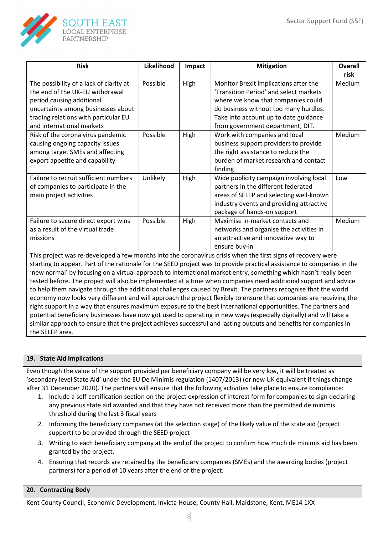

| <b>Risk</b>                                                                                                                                                                                                        | Likelihood | Impact | <b>Mitigation</b>                                                                                                                                                                                                                           | Overall<br>risk |  |
|--------------------------------------------------------------------------------------------------------------------------------------------------------------------------------------------------------------------|------------|--------|---------------------------------------------------------------------------------------------------------------------------------------------------------------------------------------------------------------------------------------------|-----------------|--|
| The possibility of a lack of clarity at<br>the end of the UK-EU withdrawal<br>period causing additional<br>uncertainty among businesses about<br>trading relations with particular EU<br>and international markets | Possible   | High   | Monitor Brexit implications after the<br>'Transition Period' and select markets<br>where we know that companies could<br>do business without too many hurdles.<br>Take into account up to date guidance<br>from government department, DIT. | Medium          |  |
| Risk of the corona virus pandemic<br>causing ongoing capacity issues<br>among target SMEs and affecting<br>export appetite and capability                                                                          | Possible   | High   | Work with companies and local<br>business support providers to provide<br>the right assistance to reduce the<br>burden of market research and contact<br>finding                                                                            | Medium          |  |
| Failure to recruit sufficient numbers<br>of companies to participate in the<br>main project activities                                                                                                             | Unlikely   | High   | Wide publicity campaign involving local<br>partners in the different federated<br>areas of SELEP and selecting well-known<br>industry events and providing attractive<br>package of hands-on support                                        | Low             |  |
| Failure to secure direct export wins<br>as a result of the virtual trade<br>missions                                                                                                                               | Possible   | High   | Maximise in-market contacts and<br>networks and organise the activities in<br>an attractive and innovative way to<br>ensure buy-in                                                                                                          | Medium          |  |

This project was re-developed a few months into the coronavirus crisis when the first signs of recovery were starting to appear. Part of the rationale for the SEED project was to provide practical assistance to companies in the 'new normal' by focusing on a virtual approach to international market entry, something which hasn't really been tested before. The project will also be implemented at a time when companies need additional support and advice to help them navigate through the additional challenges caused by Brexit. The partners recognise that the world economy now looks very different and will approach the project flexibly to ensure that companies are receiving the right support in a way that ensures maximum exposure to the best international opportunities. The partners and potential beneficiary businesses have now got used to operating in new ways (especially digitally) and will take a similar approach to ensure that the project achieves successful and lasting outputs and benefits for companies in the SELEP area.

# 19. State Aid Implications

Even though the value of the support provided per beneficiary company will be very low, it will be treated as 'secondary level State Aid' under the EU De Minimis regulation (1407/2013) (or new UK equivalent if things change after 31 December 2020). The partners will ensure that the following activities take place to ensure compliance:

- 1. Include a self-certification section on the project expression of interest form for companies to sign declaring any previous state aid awarded and that they have not received more than the permitted de minimis threshold during the last 3 fiscal years
- 2. Informing the beneficiary companies (at the selection stage) of the likely value of the state aid (project support) to be provided through the SEED project
- 3. Writing to each beneficiary company at the end of the project to confirm how much de minimis aid has been granted by the project.
- 4. Ensuring that records are retained by the beneficiary companies (SMEs) and the awarding bodies (project partners) for a period of 10 years after the end of the project.

# 20. Contracting Body

Kent County Council, Economic Development, Invicta House, County Hall, Maidstone, Kent, ME14 1XX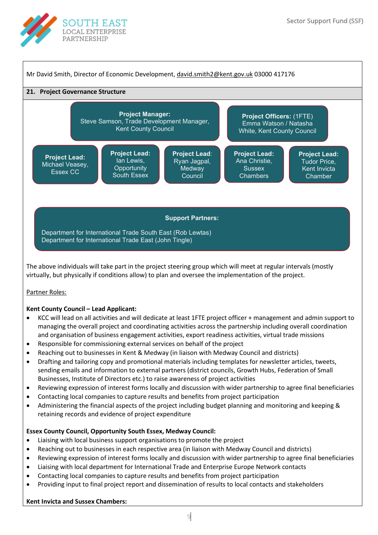



### Kent County Council – Lead Applicant:

- KCC will lead on all activities and will dedicate at least 1FTE project officer + management and admin support to managing the overall project and coordinating activities across the partnership including overall coordination and organisation of business engagement activities, export readiness activities, virtual trade missions
- Responsible for commissioning external services on behalf of the project
- Reaching out to businesses in Kent & Medway (in liaison with Medway Council and districts)
- Drafting and tailoring copy and promotional materials including templates for newsletter articles, tweets, sending emails and information to external partners (district councils, Growth Hubs, Federation of Small Businesses, Institute of Directors etc.) to raise awareness of project activities
- Reviewing expression of interest forms locally and discussion with wider partnership to agree final beneficiaries
- Contacting local companies to capture results and benefits from project participation
- Administering the financial aspects of the project including budget planning and monitoring and keeping & retaining records and evidence of project expenditure

### Essex County Council, Opportunity South Essex, Medway Council:

- Liaising with local business support organisations to promote the project
- Reaching out to businesses in each respective area (in liaison with Medway Council and districts)
- Reviewing expression of interest forms locally and discussion with wider partnership to agree final beneficiaries
- Liaising with local department for International Trade and Enterprise Europe Network contacts
- Contacting local companies to capture results and benefits from project participation
- Providing input to final project report and dissemination of results to local contacts and stakeholders

# Kent Invicta and Sussex Chambers: